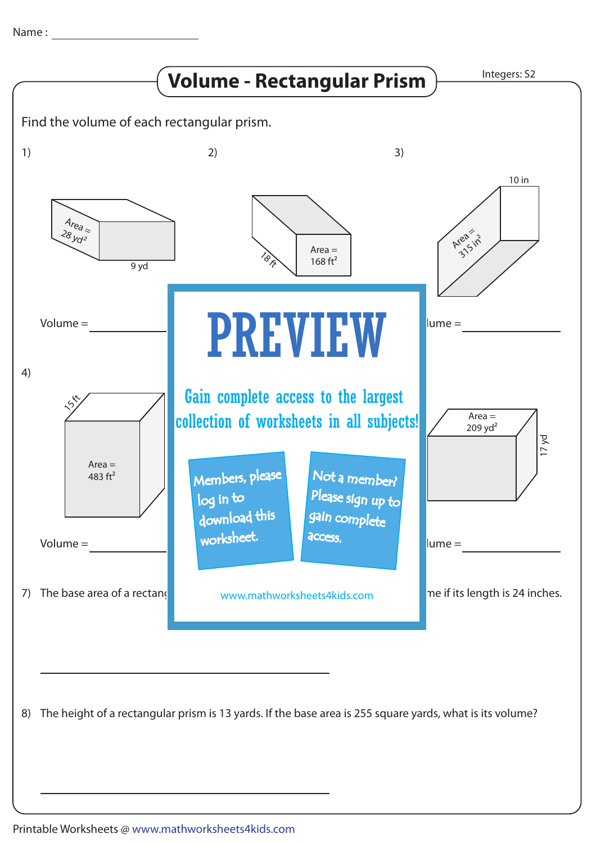